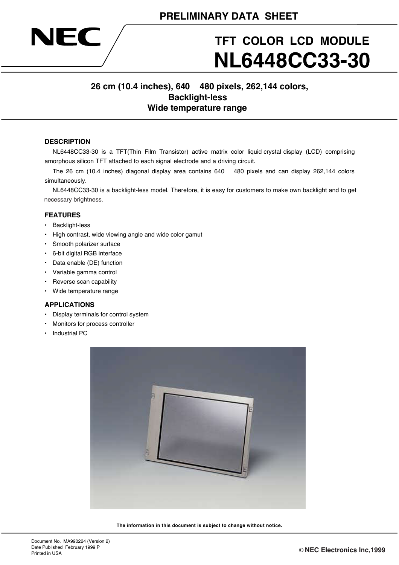

# **TFT COLOR LCD MODULE NL6448CC33-30**

# **26 cm (10.4 inches), 640 480 pixels, 262,144 colors, Backlight-less Wide temperature range**

#### **DESCRIPTION**

NL6448CC33-30 is a TFT(Thin Film Transistor) active matrix color liquid crystal display (LCD) comprising amorphous silicon TFT attached to each signal electrode and a driving circuit.

The 26 cm (10.4 inches) diagonal display area contains 640 480 pixels and can display 262,144 colors simultaneously.

NL6448CC33-30 is a backlight-less model. Therefore, it is easy for customers to make own backlight and to get necessary brightness.

#### **FEATURES**

- Backlight-less
- High contrast, wide viewing angle and wide color gamut
- Smooth polarizer surface
- 6-bit digital RGB interface
- Data enable (DE) function
- Variable gamma control
- Reverse scan capability
- Wide temperature range

#### **APPLICATIONS**

- Display terminals for control system
- Monitors for process controller
- Industrial PC



**The information in this document is subject to change without notice.**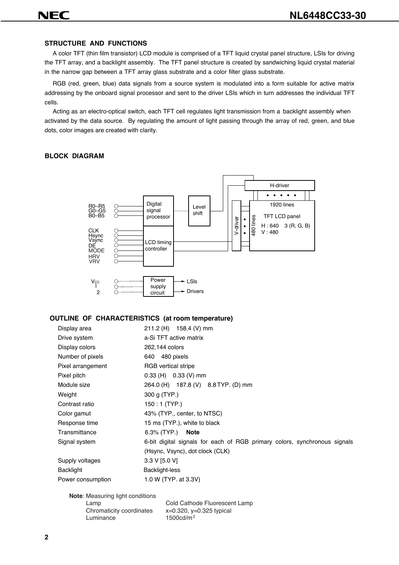#### **STRUCTURE AND FUNCTIONS**

A color TFT (thin film transistor) LCD module is comprised of a TFT liquid crystal panel structure, LSIs for driving the TFT array, and a backlight assembly. The TFT panel structure is created by sandwiching liquid crystal material in the narrow gap between a TFT array glass substrate and a color filter glass substrate.

RGB (red, green, blue) data signals from a source system is modulated into a form suitable for active matrix addressing by the onboard signal processor and sent to the driver LSIs which in turn addresses the individual TFT cells.

Acting as an electro-optical switch, each TFT cell regulates light transmission from a backlight assembly when activated by the data source. By regulating the amount of light passing through the array of red, green, and blue dots, color images are created with clarity.

#### **BLOCK DIAGRAM**



#### **OUTLINE OF CHARACTERISTICS (at room temperature)**

| Display area      | 211.2 (H) 158.4 (V) mm                                                    |
|-------------------|---------------------------------------------------------------------------|
| Drive system      | a-Si TFT active matrix                                                    |
| Display colors    | 262,144 colors                                                            |
| Number of pixels  | 480 pixels<br>640                                                         |
| Pixel arrangement | RGB vertical stripe                                                       |
| Pixel pitch       | $0.33$ (H) $0.33$ (V) mm                                                  |
| Module size       | 264.0 (H) 187.8 (V) 8.8 TYP. (D) mm                                       |
| Weight            | 300 g (TYP.)                                                              |
| Contrast ratio    | $150:1$ (TYP.)                                                            |
| Color gamut       | 43% (TYP., center, to NTSC)                                               |
| Response time     | 15 ms (TYP.), white to black                                              |
| Transmittance     | $6.3\%$ (TYP.)<br><b>Note</b>                                             |
| Signal system     | 6-bit digital signals for each of RGB primary colors, synchronous signals |
|                   | (Hsync, Vsync), dot clock (CLK)                                           |
| Supply voltages   | 3.3 V [5.0 V]                                                             |
| <b>Backlight</b>  | Backlight-less                                                            |
| Power consumption | 1.0 W (TYP. at 3.3V)                                                      |

**Note**: Measuring light conditions

Lamp Cold Cathode Fluorescent Lamp<br>Chromaticity coordinates x=0.320, y=0.325 typical Chromaticity coordinates Luminance 1500cd/m<sup>2</sup>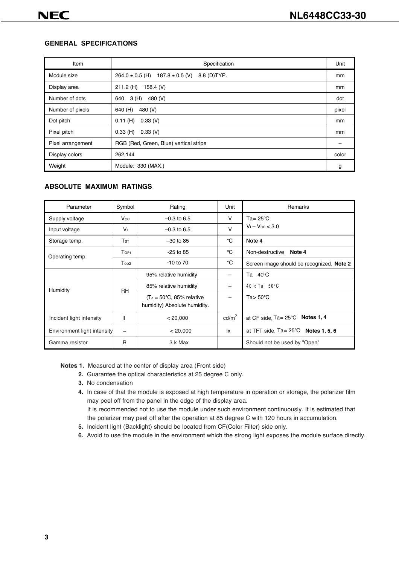## **GENERAL SPECIFICATIONS**

| Item              | Specification                                              | Unit  |
|-------------------|------------------------------------------------------------|-------|
| Module size       | $264.0 \pm 0.5$ (H)<br>$187.8 \pm 0.5$ (V)<br>8.8 (D) TYP. | mm    |
| Display area      | $211.2$ (H)<br>158.4 $(V)$                                 | mm    |
| Number of dots    | 3 (H)<br>480 (V)<br>640                                    | dot   |
| Number of pixels  | 480 (V)<br>640 (H)                                         | pixel |
| Dot pitch         | 0.11(H)<br>0.33(V)                                         | mm    |
| Pixel pitch       | 0.33(H)<br>0.33(V)                                         | mm    |
| Pixel arrangement | RGB (Red, Green, Blue) vertical stripe                     |       |
| Display colors    | 262,144                                                    | color |
| Weight            | Module: 330 (MAX.)                                         | g     |

#### **ABSOLUTE MAXIMUM RATINGS**

| Parameter                   | Symbol                          | Rating                                                              | Unit              | Remarks                                          |
|-----------------------------|---------------------------------|---------------------------------------------------------------------|-------------------|--------------------------------------------------|
| Supply voltage              | Vcc                             | $-0.3$ to 6.5                                                       | v                 | $Ta = 25^{\circ}C$                               |
| Input voltage               | $V_{\perp}$                     | $-0.3$ to 6.5                                                       | $\vee$            | $V_1 - V_{CC} < 3.0$                             |
| Storage temp.               | TsT                             | $-30$ to 85                                                         | $\rm ^{\circ}C$   | Note 4                                           |
| Operating temp.             | Top <sub>1</sub><br>$-25$ to 85 |                                                                     | °C                | Non-destructive<br>Note 4                        |
|                             | Top <sub>2</sub>                | $-10$ to $70$                                                       | °C                | Screen image should be recognized. Note 2        |
|                             |                                 | 95% relative humidity                                               |                   | Ta 40°C                                          |
| Humidity                    | <b>RH</b>                       | 85% relative humidity                                               |                   | $40 < Ta$ 50 °C                                  |
|                             |                                 | $(T_a = 50^{\circ}C, 85\%$ relative<br>humidity) Absolute humidity. |                   | Ta $> 50^{\circ}$ C                              |
| Incident light intensity    | Ш                               | < 20,000                                                            | cd/m <sup>2</sup> | at CF side, $Ta = 25^{\circ}C$ Notes 1, 4        |
| Environment light intensity |                                 | < 20,000                                                            | 1x                | at TFT side, $Ta = 25^{\circ}C$<br>Notes 1, 5, 6 |
| Gamma resistor              | $\mathsf{R}$                    | 3 k Max                                                             |                   | Should not be used by "Open"                     |

**Notes 1.** Measured at the center of display area (Front side)

- **2.** Guarantee the optical characteristics at 25 degree C only.
- **3.** No condensation
- **4.** In case of that the module is exposed at high temperature in operation or storage, the polarizer film may peel off from the panel in the edge of the display area.
	- It is recommended not to use the module under such environment continuously. It is estimated that the polarizer may peel off after the operation at 85 degree C with 120 hours in accumulation.
- **5.** Incident light (Backlight) should be located from CF(Color Filter) side only.
- **6.** Avoid to use the module in the environment which the strong light exposes the module surface directly.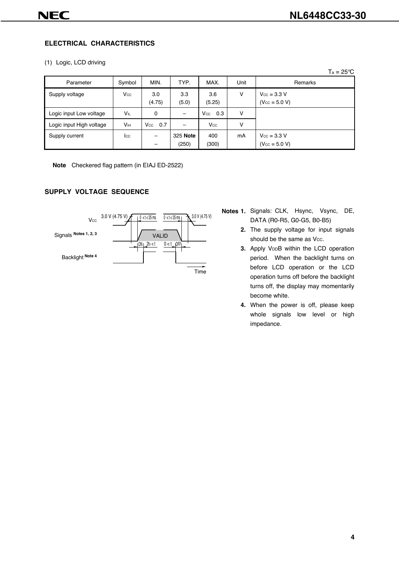#### **ELECTRICAL CHARACTERISTICS**

#### (1) Logic, LCD driving

|                          |                        |                        |                   |               |      | $Ta = 25^{\circ}C$                            |
|--------------------------|------------------------|------------------------|-------------------|---------------|------|-----------------------------------------------|
| Parameter                | Symbol                 | MIN.                   | TYP.              | MAX.          | Unit | Remarks                                       |
| Supply voltage           | Vcc                    | 3.0<br>(4.75)          | 3.3<br>(5.0)      | 3.6<br>(5.25) | v    | $V_{\text{CC}} = 3.3 V$<br>$(V_{CC} = 5.0 V)$ |
| Logic input Low voltage  | VIL                    | 0                      |                   | Vcc<br>0.3    | v    |                                               |
| Logic input High voltage | <b>V</b> <sub>IH</sub> | 0.7<br>$V_{\rm CC}$    |                   | Vcc           | ٧    |                                               |
| Supply current           | $_{\rm lcc}$           | $\qquad \qquad -$<br>- | 325 Note<br>(250) | 400<br>(300)  | mA   | $V_{\text{CC}} = 3.3 V$<br>$(V_{CC} = 5.0 V)$ |

**Note** Checkered flag pattern (in EIAJ ED-2522)

# **SUPPLY VOLTAGE SEQUENCE**



- **Notes 1.** Signals: CLK, Hsync, Vsync, DE, DATA (R0-R5, G0-G5, B0-B5)
	- **2.** The supply voltage for input signals should be the same as Vcc.
	- **3.** Apply V<sub>DD</sub>B within the LCD operation period. When the backlight turns on before LCD operation or the LCD operation turns off before the backlight turns off, the display may momentarily become white.
	- **4.** When the power is off, please keep whole signals low level or high impedance.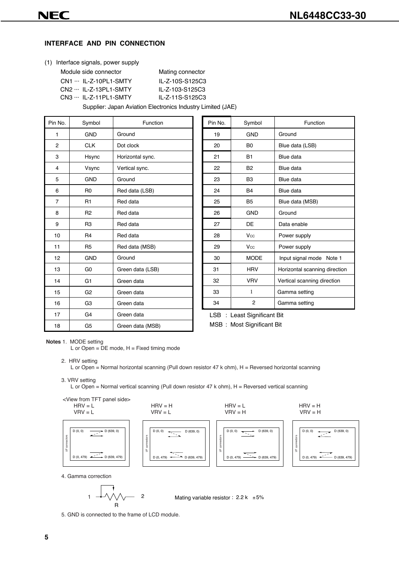#### **INTERFACE AND PIN CONNECTION**

(1) Interface signals, power supply

| CN1 … IL-Z-10PL1-SMTY   |
|-------------------------|
|                         |
| CN3 … IL-Z-11PL1-SMTY . |

Mating connector IL-Z-10S-S125C3 IL-Z-103-S125C3 IL-Z-11S-S125C3

Supplier: Japan Aviation Electronics Industry Limited (JAE)

| Pin No.        | Symbol         | Function         |  | Pin No. | Symbol                      | Function                     |
|----------------|----------------|------------------|--|---------|-----------------------------|------------------------------|
| 1              | <b>GND</b>     | Ground           |  | 19      | <b>GND</b>                  | Ground                       |
| $\overline{2}$ | <b>CLK</b>     | Dot clock        |  | 20      | B <sub>0</sub>              | Blue data (LSB)              |
| 3              | Hsync          | Horizontal sync. |  | 21      | <b>B1</b>                   | Blue data                    |
| 4              | Vsync          | Vertical sync.   |  | 22      | <b>B2</b>                   | Blue data                    |
| 5              | <b>GND</b>     | Ground           |  | 23      | B <sub>3</sub>              | Blue data                    |
| 6              | R <sub>0</sub> | Red data (LSB)   |  | 24      | <b>B4</b>                   | Blue data                    |
| $\overline{7}$ | R1             | Red data         |  | 25      | B <sub>5</sub>              | Blue data (MSB)              |
| 8              | R <sub>2</sub> | Red data         |  | 26      | <b>GND</b>                  | Ground                       |
| 9              | R <sub>3</sub> | Red data         |  | 27      | <b>DE</b>                   | Data enable                  |
| 10             | R <sub>4</sub> | Red data         |  | 28      | <b>Vcc</b>                  | Power supply                 |
| 11             | R <sub>5</sub> | Red data (MSB)   |  | 29      | <b>Vcc</b>                  | Power supply                 |
| 12             | <b>GND</b>     | Ground           |  | 30      | <b>MODE</b>                 | Input signal mode Note 1     |
| 13             | G <sub>0</sub> | Green data (LSB) |  | 31      | <b>HRV</b>                  | Horizontal scanning directio |
| 14             | G <sub>1</sub> | Green data       |  | 32      | <b>VRV</b>                  | Vertical scanning direction  |
| 15             | G <sub>2</sub> | Green data       |  | 33      | $\mathbf{1}$                | Gamma setting                |
| 16             | G <sub>3</sub> | Green data       |  | 34      | $\overline{2}$              | Gamma setting                |
| 17             | G4             | Green data       |  |         | LSB : Least Significant Bit |                              |
| 18             | G <sub>5</sub> | Green data (MSB) |  |         | MSB: Most Significant Bit   |                              |

| No.            | Symbol         | Function         | Pin No. | Symbol         | Function                      |
|----------------|----------------|------------------|---------|----------------|-------------------------------|
| $\mathbf{1}$   | <b>GND</b>     | Ground           | 19      | <b>GND</b>     | Ground                        |
| $\overline{2}$ | <b>CLK</b>     | Dot clock        | 20      | B <sub>0</sub> | Blue data (LSB)               |
| 3              | Hsync          | Horizontal sync. | 21      | <b>B1</b>      | Blue data                     |
| 4              | Vsync          | Vertical sync.   | 22      | B <sub>2</sub> | Blue data                     |
| 5              | <b>GND</b>     | Ground           | 23      | B <sub>3</sub> | Blue data                     |
| 6              | R <sub>0</sub> | Red data (LSB)   | 24      | B4             | Blue data                     |
| $\overline{7}$ | R1             | Red data         | 25      | B <sub>5</sub> | Blue data (MSB)               |
| 8              | R <sub>2</sub> | Red data         | 26      | <b>GND</b>     | Ground                        |
| 9              | R <sub>3</sub> | Red data         | 27      | DE             | Data enable                   |
| 10             | R <sub>4</sub> | Red data         | 28      | Vcc            | Power supply                  |
| 11             | R <sub>5</sub> | Red data (MSB)   | 29      | Vcc            | Power supply                  |
| 12             | <b>GND</b>     | Ground           | 30      | <b>MODE</b>    | Input signal mode Note 1      |
| 13             | G <sub>0</sub> | Green data (LSB) | 31      | <b>HRV</b>     | Horizontal scanning direction |
| 14             | G <sub>1</sub> | Green data       | 32      | <b>VRV</b>     | Vertical scanning direction   |
| 15             | G <sub>2</sub> | Green data       | 33      | 1              | Gamma setting                 |
| 16             | G <sub>3</sub> | Green data       | 34      | $\overline{2}$ | Gamma setting                 |
|                |                |                  |         |                |                               |

#### **Notes** 1. MODE setting

L or Open =  $DE$  mode,  $H = Fixed$  timing mode

#### 2. HRV setting

L or Open = Normal horizontal scanning (Pull down resistor 47 k ohm), H = Reversed horizontal scanning

#### 3. VRV setting

L or Open = Normal vertical scanning (Pull down resistor 47 k ohm), H = Reversed vertical scanning



4. Gamma correction

 2 R 1 Mating variable resistor : 2.2 k ±5%

5. GND is connected to the frame of LCD module.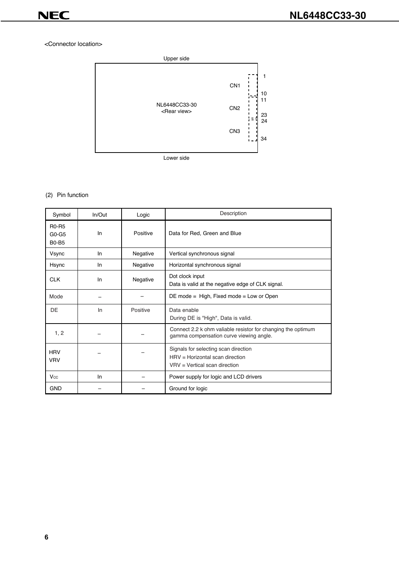<Connector location>



#### (2) Pin function

| Symbol                                | In/Out | Logic    | Description                                                                                                   |
|---------------------------------------|--------|----------|---------------------------------------------------------------------------------------------------------------|
| <b>R0-R5</b><br>G0-G5<br><b>B0-B5</b> | In     | Positive | Data for Red, Green and Blue                                                                                  |
| Vsync                                 | In     | Negative | Vertical synchronous signal                                                                                   |
| Hsync                                 | In     | Negative | Horizontal synchronous signal                                                                                 |
| <b>CLK</b>                            | In     | Negative | Dot clock input<br>Data is valid at the negative edge of CLK signal.                                          |
| Mode                                  |        |          | $DE$ mode = High, Fixed mode = Low or Open                                                                    |
| DE                                    | In     | Positive | Data enable<br>During DE is "High", Data is valid.                                                            |
| 1, 2                                  |        |          | Connect 2.2 k ohm valiable resistor for changing the optimum<br>gamma compensation curve viewing angle.       |
| <b>HRV</b><br><b>VRV</b>              |        |          | Signals for selecting scan direction<br>$HRV = Horizontal scan direction$<br>$V$ RV = Vertical scan direction |
| <b>V<sub>cc</sub></b>                 | In     |          | Power supply for logic and LCD drivers                                                                        |
| <b>GND</b>                            |        |          | Ground for logic                                                                                              |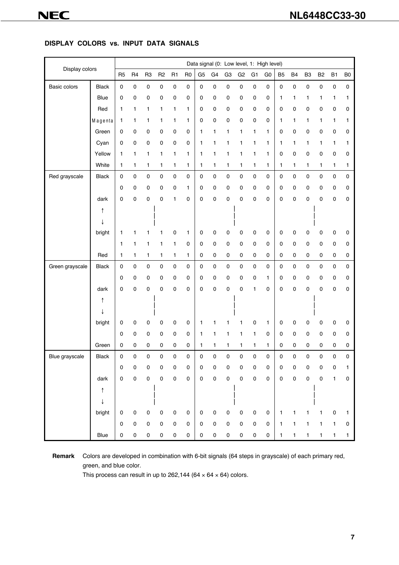## **DISPLAY COLORS vs. INPUT DATA SIGNALS**

|                 |              |                |                |                |                |                     |                |                |             |                |                |                | Data signal (0: Low level, 1: High level) |                |              |                |                |                |                |
|-----------------|--------------|----------------|----------------|----------------|----------------|---------------------|----------------|----------------|-------------|----------------|----------------|----------------|-------------------------------------------|----------------|--------------|----------------|----------------|----------------|----------------|
| Display colors  |              | R <sub>5</sub> | R <sub>4</sub> | R <sub>3</sub> | R <sub>2</sub> | R <sub>1</sub>      | R <sub>0</sub> | G <sub>5</sub> | G4          | G <sub>3</sub> | G <sub>2</sub> | G <sub>1</sub> | G <sub>0</sub>                            | B <sub>5</sub> | <b>B4</b>    | B <sub>3</sub> | B <sub>2</sub> | B <sub>1</sub> | B <sub>0</sub> |
| Basic colors    | <b>Black</b> | $\pmb{0}$      | $\pmb{0}$      | $\pmb{0}$      | $\pmb{0}$      | $\pmb{0}$           | $\pmb{0}$      | 0              | 0           | $\mathbf 0$    | $\pmb{0}$      | 0              | $\pmb{0}$                                 | 0              | $\pmb{0}$    | $\pmb{0}$      | 0              | $\pmb{0}$      | $\mathsf 0$    |
|                 | Blue         | $\pmb{0}$      | $\pmb{0}$      | $\pmb{0}$      | $\pmb{0}$      | 0                   | 0              | $\mathbf 0$    | 0           | $\pmb{0}$      | 0              | 0              | 0                                         | 1              | 1            | 1              | 1              | 1              | 1              |
|                 | Red          | 1              | 1              | 1              | $\mathbf{1}$   | 1                   | 1              | 0              | 0           | 0              | 0              | 0              | 0                                         | 0              | 0            | 0              | 0              | 0              | 0              |
|                 | Magenta      | 1              | 1              | 1              | $\mathbf{1}$   | 1                   | 1              | $\pmb{0}$      | 0           | 0              | 0              | 0              | 0                                         | 1              | $\mathbf{1}$ | 1              | 1              | 1              | 1              |
|                 | Green        | 0              | $\mathbf 0$    | 0              | 0              | 0                   | 0              | 1              | 1           | 1              | $\mathbf{1}$   | 1              | 1                                         | 0              | $\pmb{0}$    | 0              | 0              | $\pmb{0}$      | 0              |
|                 | Cyan         | 0              | 0              | 0              | 0              | 0                   | 0              | 1              | 1           | 1              | 1              | 1              | 1                                         | 1              | 1            | 1              | 1              | 1              | 1              |
|                 | Yellow       | 1              | 1              | 1              | 1              | 1                   | 1              | 1              | 1           | 1              | 1              | 1              | 1                                         | 0              | $\pmb{0}$    | $\pmb{0}$      | 0              | $\pmb{0}$      | 0              |
|                 | White        | 1              | 1              | 1              | 1              | 1                   | 1              | 1              | 1           | 1              | 1              | 1              | 1                                         | 1              | 1            | 1              | 1              | 1              | 1              |
| Red grayscale   | Black        | $\mathbf 0$    | $\pmb{0}$      | $\pmb{0}$      | $\pmb{0}$      | 0                   | 0              | $\pmb{0}$      | 0           | $\mathbf 0$    | $\pmb{0}$      | 0              | $\pmb{0}$                                 | 0              | $\pmb{0}$    | $\pmb{0}$      | $\pmb{0}$      | $\pmb{0}$      | 0              |
|                 |              | 0              | $\pmb{0}$      | 0              | 0              | 0                   | 1              | 0              | 0           | $\pmb{0}$      | 0              | 0              | 0                                         | 0              | 0            | 0              | 0              | $\pmb{0}$      | 0              |
|                 | dark         | $\mathbf 0$    | 0              | $\pmb{0}$      | $\pmb{0}$      | 1                   | 0              | 0              | 0           | 0              | 0              | 0              | 0                                         | 0              | $\pmb{0}$    | 0              | 0              | $\pmb{0}$      | 0              |
|                 | ↑            |                |                |                |                |                     |                |                |             |                |                |                |                                           |                |              |                |                |                |                |
|                 |              |                |                |                |                |                     |                |                |             |                |                |                |                                           |                |              |                |                |                |                |
|                 | bright       | 1              | 1              | 1              | 1              | 0                   | 1              | 0              | 0           | 0              | 0              | 0              | 0                                         | 0              | 0            | 0              | 0              | 0              | 0              |
|                 |              | 1              | 1              | 1              | 1              | 1                   | 0              | $\mathbf 0$    | 0           | $\mathsf 0$    | 0              | $\pmb{0}$      | 0                                         | 0              | $\pmb{0}$    | $\mathbf 0$    | 0              | $\pmb{0}$      | 0              |
|                 | Red          | 1              | 1              | 1              | 1              | 1                   | 1              | 0              | 0           | 0              | $\pmb{0}$      | $\pmb{0}$      | 0                                         | 0              | $\pmb{0}$    | $\mathbf 0$    | 0              | $\pmb{0}$      | 0              |
| Green grayscale | <b>Black</b> | $\pmb{0}$      | $\pmb{0}$      | $\pmb{0}$      | $\pmb{0}$      | $\mathsf 0$         | $\pmb{0}$      | 0              | 0           | $\mathbf 0$    | $\mathbf 0$    | 0              | 0                                         | 0              | $\pmb{0}$    | $\pmb{0}$      | $\pmb{0}$      | $\pmb{0}$      | 0              |
|                 |              | $\mathbf 0$    | 0              | 0              | 0              | 0                   | 0              | 0              | 0           | 0              | 0              | 0              | 1                                         | 0              | 0            | 0              | 0              | 0              | 0              |
|                 | dark         | 0              | 0              | 0              | 0              | 0                   | 0              | 0              | 0           | $\mathbf 0$    | 0              | 1              | 0                                         | 0              | $\pmb{0}$    | 0              | 0              | $\pmb{0}$      | 0              |
|                 | ↑            |                |                |                |                |                     |                |                |             |                |                |                |                                           |                |              |                |                |                |                |
|                 |              |                |                |                |                |                     |                |                |             |                |                |                |                                           |                |              |                |                |                |                |
|                 | bright       | $\mathbf 0$    | 0              | 0              | $\pmb{0}$      | 0                   | 0              | 1              | 1           | 1              | 1              | 0              | 1                                         | 0              | $\pmb{0}$    | 0              | 0              | 0              | 0              |
|                 |              | 0              | 0              | 0              | 0              | 0                   | 0              | 1              | 1           | 1              | 1              | 1              | 0                                         | 0              | 0            | 0              | 0              | 0              | 0              |
|                 | Green        | 0              | 0              | 0              | $\pmb{0}$      | 0                   | 0              | 1              | 1           | 1              | 1              | 1              | 1                                         | 0              | $\pmb{0}$    | 0              | 0              | 0              | 0              |
| Blue grayscale  | <b>Black</b> | 0              | 0              | $\Omega$       | $\Omega$       | 0                   | 0              | <sup>n</sup>   | $\Omega$    | $\Omega$       | 0              | $\Omega$       | $\Omega$                                  | 0              | $\Omega$     | U              | $\Omega$       | $\Omega$       | $\cap$         |
|                 |              | $\mathbf 0$    | $\mathsf 0$    | $\mathsf 0$    | $\pmb{0}$      | 0                   | $\pmb{0}$      | $\mathbf 0$    | $\mathsf 0$ | $\pmb{0}$      | $\pmb{0}$      | $\pmb{0}$      | 0                                         | 0              | $\mathsf 0$  | 0              | 0              | $\pmb{0}$      | 1              |
|                 | dark         | $\pmb{0}$      | $\pmb{0}$      | $\mathsf 0$    | $\pmb{0}$      | $\mathsf 0$         | $\pmb{0}$      | $\pmb{0}$      | $\mathsf 0$ | $\mathbf 0$    | $\pmb{0}$      | $\mathsf 0$    | 0                                         | $\mathsf 0$    | $\pmb{0}$    | $\mathsf 0$    | 0              | 1              | 0              |
|                 | ↑            |                |                |                |                |                     |                |                |             |                |                |                |                                           |                |              |                |                |                |                |
|                 | T            |                |                |                |                |                     |                |                |             |                |                |                |                                           |                |              |                |                |                |                |
|                 | bright       | $\mathbf 0$    | $\mathsf 0$    | 0              | $\pmb{0}$      | $\pmb{0}$           | $\mathbf 0$    | 0              | 0           | 0              | $\pmb{0}$      | $\mathsf 0$    | 0                                         | 1              | $\mathbf{1}$ | 1              | 1              | 0              | 1              |
|                 |              | $\pmb{0}$      | $\mathsf 0$    | $\mathbf 0$    | $\pmb{0}$      | $\mathsf{O}\xspace$ | $\mathbf 0$    | $\mathbf 0$    | 0           | $\pmb{0}$      | $\pmb{0}$      | $\pmb{0}$      | 0                                         | 1              | $\mathbf{1}$ | 1              | 1              | 1              | 0              |
|                 | Blue         | $\pmb{0}$      | 0              | 0              | $\pmb{0}$      | $\mathsf 0$         | 0              | 0              | 0           | $\pmb{0}$      | $\pmb{0}$      | $\pmb{0}$      | 0                                         | 1              | $\mathbf{1}$ | $\mathbf{1}$   | $\mathbf{1}$   | 1              | 1.             |

**Remark** Colors are developed in combination with 6-bit signals (64 steps in grayscale) of each primary red, green, and blue color.

This process can result in up to  $262,144$  ( $64 \times 64 \times 64$ ) colors.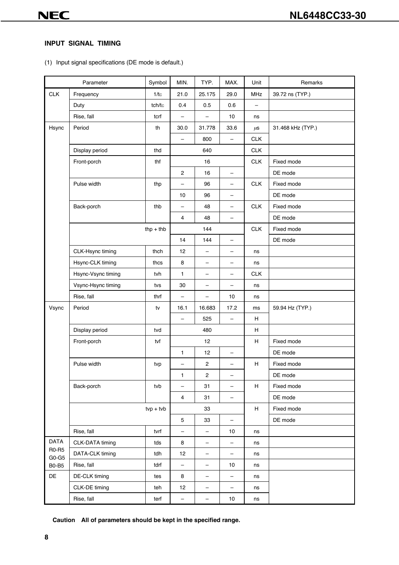#### **INPUT SIGNAL TIMING**

(1) Input signal specifications (DE mode is default.)

|                         | Parameter          | Symbol      | MIN.                     | TYP.                     | MAX.                     | Unit                      | Remarks           |
|-------------------------|--------------------|-------------|--------------------------|--------------------------|--------------------------|---------------------------|-------------------|
| <b>CLK</b>              | Frequency          | 1/tc        | 21.0                     | 25.175                   | 29.0                     | MHz                       | 39.72 ns (TYP.)   |
|                         | Duty               | tch/tc      | 0.4                      | $0.5\,$                  | 0.6                      | $\equiv$                  |                   |
|                         | Rise, fall         | tcrf        | -                        | -                        | 10                       | ns                        |                   |
| Hsync                   | Period             | th          | 30.0                     | 31.778                   | 33.6                     | $\mu$ s                   | 31.468 kHz (TYP.) |
|                         |                    |             | $\qquad \qquad -$        | 800                      | $\qquad \qquad -$        | <b>CLK</b>                |                   |
|                         | Display period     | thd         |                          | 640                      |                          | CLK                       |                   |
|                         | Front-porch        | thf         |                          | 16                       |                          | <b>CLK</b>                | Fixed mode        |
|                         |                    |             | $\overline{\mathbf{c}}$  | 16                       | $\qquad \qquad -$        |                           | DE mode           |
|                         | Pulse width        | thp         | -                        | 96                       | $\qquad \qquad -$        | <b>CLK</b>                | Fixed mode        |
|                         |                    |             | 10                       | 96                       | -                        |                           | DE mode           |
|                         | Back-porch         | thb         | $\qquad \qquad -$        | 48                       | $\overline{\phantom{0}}$ | CLK                       | Fixed mode        |
|                         |                    |             | $\overline{4}$           | 48                       | $\qquad \qquad -$        |                           | DE mode           |
|                         |                    | $thp + thb$ |                          | 144                      |                          | <b>CLK</b>                | Fixed mode        |
|                         |                    |             | 14                       | 144                      | -                        |                           | DE mode           |
|                         | CLK-Hsync timing   | thch        | 12                       | $\overline{\phantom{0}}$ | -                        | ns                        |                   |
|                         | Hsync-CLK timing   | thcs        | 8                        | -                        | -                        | ns                        |                   |
|                         | Hsync-Vsync timing | tvh         | 1                        | $\overline{\phantom{0}}$ | $\overline{\phantom{0}}$ | <b>CLK</b>                |                   |
|                         | Vsync-Hsync timing | tvs         | 30                       | $\qquad \qquad -$        | $\qquad \qquad -$        | ns                        |                   |
|                         | Rise, fall         | thrf        | $\qquad \qquad -$        | $\overline{\phantom{0}}$ | 10                       | ns                        |                   |
| Vsync                   | Period             | tv          | 16.1                     | 16.683                   | 17.2                     | ms                        | 59.94 Hz (TYP.)   |
|                         |                    |             | $\qquad \qquad -$        | 525                      | $\qquad \qquad -$        | H                         |                   |
|                         | Display period     | tvd         |                          | 480                      |                          | н                         |                   |
|                         | Front-porch        | tvf         |                          | 12                       |                          | H                         | Fixed mode        |
|                         |                    |             | 1                        | 12                       | -                        |                           | DE mode           |
|                         | Pulse width        | tvp         | $\overline{\phantom{0}}$ | $\mathbf{2}$             | -                        | $\boldsymbol{\mathsf{H}}$ | Fixed mode        |
|                         |                    |             | $\mathbf{1}$             | $\mathbf 2$              |                          |                           | DE mode           |
|                         | Back-porch         | tvb         | -                        | 31                       | -                        | н                         | Fixed mode        |
|                         |                    |             | $\overline{4}$           | 31                       | -                        |                           | DE mode           |
|                         |                    | $typ + tvb$ |                          | 33                       |                          | $\boldsymbol{\mathsf{H}}$ | Fixed mode        |
|                         |                    |             | $\sqrt{5}$               | 33                       | $\overline{\phantom{a}}$ |                           | DE mode           |
|                         | Rise, fall         | tvrf        |                          | -                        | 10                       | ns                        |                   |
| <b>DATA</b>             | CLK-DATA timing    | tds         | 8                        | -                        | $\qquad \qquad -$        | ns                        |                   |
| <b>R0-R5</b><br>$G0-G5$ | DATA-CLK timing    | tdh         | 12                       | -                        | -                        | ns                        |                   |
| <b>B0-B5</b>            | Rise, fall         | tdrf        | -                        | -                        | 10                       | ns                        |                   |
| DE                      | DE-CLK timing      | tes         | 8                        | $\qquad \qquad -$        | $\qquad \qquad -$        | ns                        |                   |
|                         | CLK-DE timing      | teh         | 12                       | -                        | -                        | ns                        |                   |
|                         | Rise, fall         | terf        | -                        | $\qquad \qquad -$        | 10                       | ns                        |                   |

**Caution All of parameters should be kept in the specified range.**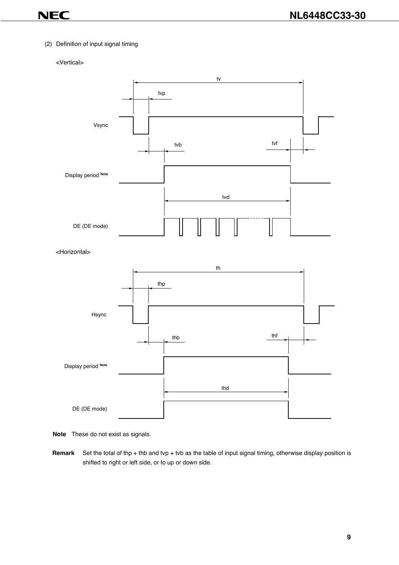#### (2) Definition of input signal timing

#### <Vertical>



<Horizontal>



**Note** These do not exist as signals.

**Remark** Set the total of thp + thb and tvp + tvb as the table of input signal timing, otherwise display position is shifted to right or left side, or to up or down side.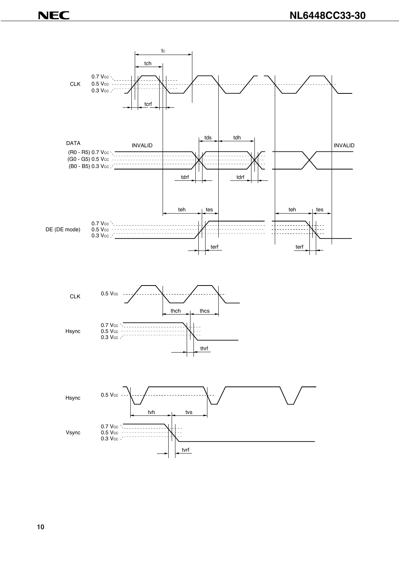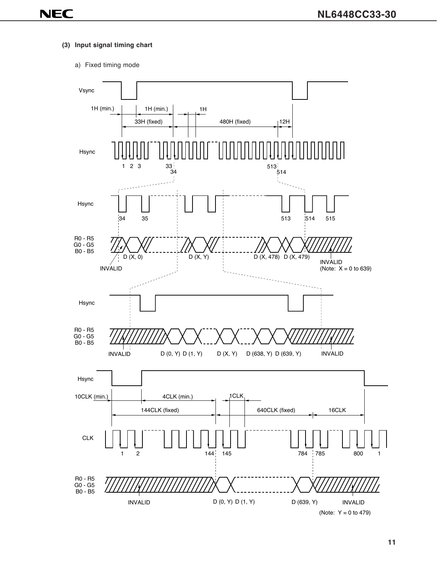#### **(3) Input signal timing chart**

a) Fixed timing mode

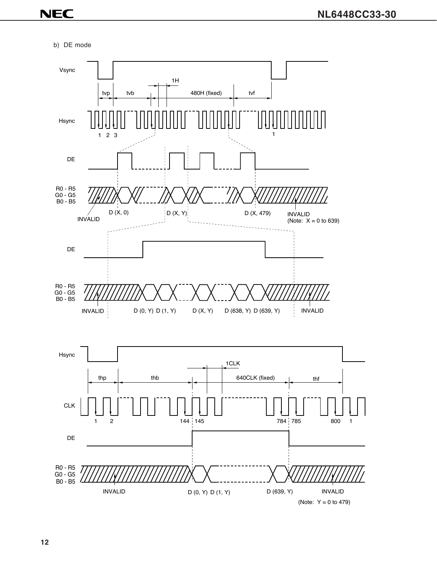b) DE mode

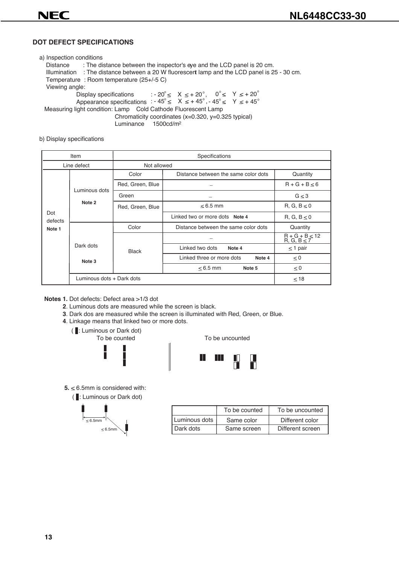# **DOT DEFECT SPECIFICATIONS**

**NEC** 

| a) Inspection conditions                                                                              |
|-------------------------------------------------------------------------------------------------------|
| Distance : The distance between the inspector's eye and the LCD panel is 20 cm.                       |
| Illumination : The distance between a 20 W fluorescent lamp and the LCD panel is 25 - 30 cm.          |
| Temperature: Room temperature (25+/-5 C)                                                              |
| Viewing angle:                                                                                        |
| Display specifications : - $20^{\circ} \le X \le +20^{\circ}$ , $0^{\circ} \le Y \le +20^{\circ}$     |
| Appearance specifications : $-45^{\circ} \le X \le +45^{\circ}$ , $-45^{\circ} \le Y \le +45^{\circ}$ |
| Measuring light condition: Lamp Cold Cathode Fluorescent Lamp                                         |
| Chromaticity coordinates (x=0.320, y=0.325 typical)                                                   |
| Luminance 1500cd/m <sup>2</sup>                                                                       |

b) Display specifications

| Item                      |               | Specifications   |                                      |                                      |  |
|---------------------------|---------------|------------------|--------------------------------------|--------------------------------------|--|
| Line defect               |               | Not allowed      |                                      |                                      |  |
|                           | Luminous dots | Color            | Distance between the same color dots | Quantity                             |  |
|                           |               | Red, Green, Blue |                                      | $R+G+B<6$                            |  |
|                           |               | Green            |                                      | G < 3                                |  |
| Note 2                    |               | Red, Green, Blue | $< 6.5$ mm                           | $R, G, B \leq 0$                     |  |
| Dot<br>defects            |               |                  | Linked two or more dots Note 4       | $R, G, B \leq 0$                     |  |
| Note 1                    |               | Color            | Distance between the same color dots | Quantity                             |  |
|                           |               |                  |                                      | $R + G + B < 12$<br>$R, G, B \leq 7$ |  |
|                           | Dark dots     | <b>Black</b>     | Linked two dots<br>Note 4            | $\leq$ 1 pair                        |  |
|                           | Note 3        |                  | Linked three or more dots<br>Note 4  | $\leq 0$                             |  |
|                           |               |                  | $< 6.5$ mm<br>Note 5                 | $\leq 0$                             |  |
| Luminous dots + Dark dots |               |                  | < 18                                 |                                      |  |

**Notes 1.** Dot defects: Defect area >1/3 dot

- **2**. Luminous dots are measured while the screen is black.
- **3**. Dark dos are measured while the screen is illuminated with Red, Green, or Blue.
- **4**. Linkage means that linked two or more dots.
	- ( : Luminous or Dark dot)<br>To be counted



To be uncounted



 $5 \leq 6.5$ mm is considered with:

 $\frac{1}{2}$ 

(: Luminous or Dark dot)

| $< 6.5$ mm |  |
|------------|--|
| $< 6.5$ mm |  |

|               | To be counted | To be uncounted  |
|---------------|---------------|------------------|
| Luminous dots | Same color    | Different color  |
| Dark dots     | Same screen   | Different screen |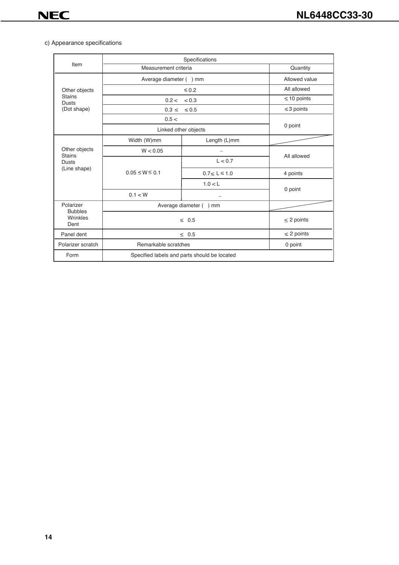#### c) Appearance specifications

|                                    | Specifications                               |                      |                  |  |
|------------------------------------|----------------------------------------------|----------------------|------------------|--|
| Item                               | Measurement criteria                         | Quantity             |                  |  |
|                                    | Average diameter () mm                       | Allowed value        |                  |  |
| Other objects                      |                                              | $\leq 0.2$           | All allowed      |  |
| <b>Stains</b><br><b>Dusts</b>      | 0.2 <                                        | < 0.3                | $\leq$ 10 points |  |
| (Dot shape)                        | $0.3 \leq \leq 0.5$                          |                      | $\leq$ 3 points  |  |
|                                    | 0.5 <                                        |                      |                  |  |
|                                    | Linked other objects                         |                      | 0 point          |  |
|                                    | Width (W)mm                                  | Length (L)mm         |                  |  |
| Other objects<br><b>Stains</b>     | W < 0.05                                     |                      | All allowed      |  |
| <b>Dusts</b>                       | $0.05 \le W \le 0.1$                         | L < 0.7              |                  |  |
| (Line shape)                       |                                              | $0.7 \le L \le 1.0$  | 4 points         |  |
|                                    |                                              | 1.0 < L              |                  |  |
|                                    | 0.1 < W                                      |                      | 0 point          |  |
| Polarizer                          | Average diameter () mm                       |                      |                  |  |
| <b>Bubbles</b><br>Wrinkles<br>Dent | $\leq$ 0.5                                   |                      | $\leq$ 2 points  |  |
| Panel dent                         | $\leq$ 0.5                                   |                      | $\leq$ 2 points  |  |
| Polarizer scratch                  |                                              | Remarkable scratches |                  |  |
| Form                               | Specified labels and parts should be located |                      |                  |  |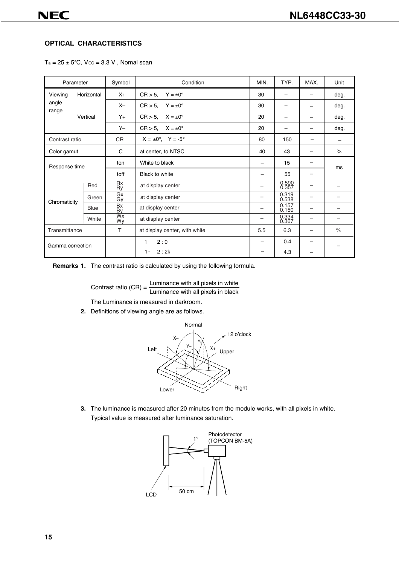#### **OPTICAL CHARACTERISTICS**

| $Ta = 25 \pm 5^{\circ}C$ , $Vcc = 3.3 V$ , Nomal scan |  |  |  |  |
|-------------------------------------------------------|--|--|--|--|
|-------------------------------------------------------|--|--|--|--|

| Parameter             |                                              | Symbol                       | Condition                              | MIN. | TYP.           | MAX. | Unit |
|-----------------------|----------------------------------------------|------------------------------|----------------------------------------|------|----------------|------|------|
| Viewing               | Horizontal                                   | $X +$                        | $CR > 5$ , $Y = \pm 0^{\circ}$         | 30   |                |      | deg. |
| angle<br>range        |                                              | $X-$                         | $CR > 5$ , $Y = \pm 0^{\circ}$         | 30   |                |      | deg. |
|                       | Vertical                                     | Y+                           | $CR > 5$ , $X = \pm 0^{\circ}$         | 20   |                |      | deg. |
|                       |                                              | Y-                           | $CR > 5$ , $X = \pm 0^{\circ}$         | 20   |                |      | deg. |
| Contrast ratio        |                                              | <b>CR</b>                    | $X = \pm 0^{\circ}$ , $Y = -5^{\circ}$ | 80   | 150            | -    |      |
| Color gamut           |                                              | C                            | at center, to NTSC                     | 40   | 43             |      | $\%$ |
| Response time         |                                              | ton                          | White to black<br>15                   |      |                | ms   |      |
|                       |                                              | toff                         | <b>Black to white</b>                  |      | 55             |      |      |
| Red                   |                                              | Rx<br>Ry                     | at display center                      |      | 0.590<br>0.357 |      |      |
| Green<br>Chromaticity |                                              | Gx<br>Gy                     | at display center                      |      | 0.319<br>0.538 |      |      |
|                       | Bx<br>at display center<br><b>Blue</b><br>By |                              | 0.157<br>0.150                         |      |                |      |      |
|                       | White                                        | $\overline{\text{Wx}}$<br>Wy | at display center                      |      | 0.334<br>0.367 |      |      |
| Transmittance         |                                              | T                            | at display center, with white          | 5.5  | 6.3            |      | $\%$ |
| Gamma correction      |                                              |                              | 2:0<br>$1 -$                           |      | 0.4            |      |      |
|                       |                                              |                              | 2:2k<br>$1 -$                          |      | 4.3            |      |      |

**Remarks 1.** The contrast ratio is calculated by using the following formula.

Contrast ratio  $(CR) = \frac{Luminance with all pixels in white}{Luminance with all pixels in black}$ 

The Luminance is measured in darkroom.

**2.** Definitions of viewing angle are as follows.



**3.** The luminance is measured after 20 minutes from the module works, with all pixels in white. Typical value is measured after luminance saturation.

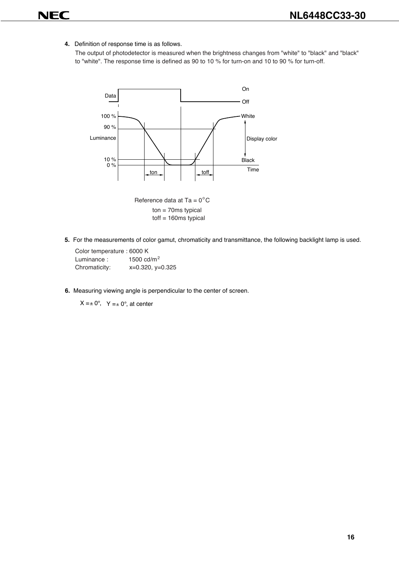**4.** Definition of response time is as follows.

The output of photodetector is measured when the brightness changes from "white" to "black" and "black" to "white". The response time is defined as 90 to 10 % for turn-on and 10 to 90 % for turn-off.



Reference data at Ta =  $0^{\circ}$ C  $ton = 70$ ms typical toff = 160ms typical

**5.** For the measurements of color gamut, chromaticity and transmittance, the following backlight lamp is used.

| Color temperature : 6000 K |                        |
|----------------------------|------------------------|
| Luminance:                 | 1500 cd/m <sup>2</sup> |
| Chromaticity:              | $x=0.320, y=0.325$     |

**6.** Measuring viewing angle is perpendicular to the center of screen.

 $X = \pm 0^\circ$ ,  $Y = \pm 0^\circ$ , at center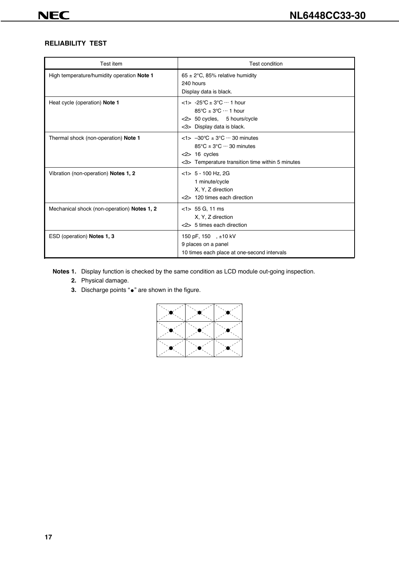# **RELIABILITY TEST**

| Test item                                   | Test condition                                                                                                                                                                      |
|---------------------------------------------|-------------------------------------------------------------------------------------------------------------------------------------------------------------------------------------|
| High temperature/humidity operation Note 1  | 65 ± 2 $\degree$ C, 85% relative humidity<br>240 hours<br>Display data is black.                                                                                                    |
| Heat cycle (operation) Note 1               | $<$ 1> -25°C ± 3°C ··· 1 hour<br>$85^{\circ}$ C $\pm$ 3 $^{\circ}$ C $\cdots$ 1 hour<br><2> 50 cycles, 5 hours/cycle<br><3> Display data is black.                                  |
| Thermal shock (non-operation) Note 1        | $<$ 1> $-30^{\circ}$ C $\pm$ 3°C $\cdots$ 30 minutes<br>$85^{\circ}$ C ± 3 $^{\circ}$ C $\cdots$ 30 minutes<br>$<$ 2> 16 cycles<br><3> Temperature transition time within 5 minutes |
| Vibration (non-operation) Notes 1, 2        | $<1>5 - 100$ Hz, 2G<br>1 minute/cycle<br>X, Y, Z direction<br><2> 120 times each direction                                                                                          |
| Mechanical shock (non-operation) Notes 1, 2 | $<$ 1> 55 G, 11 ms<br>X, Y, Z direction<br><2> 5 times each direction                                                                                                               |
| ESD (operation) Notes 1, 3                  | 150 pF, 150, $\pm$ 10 kV<br>9 places on a panel<br>10 times each place at one-second intervals                                                                                      |

# **Notes 1.** Display function is checked by the same condition as LCD module out-going inspection.

- **2.** Physical damage.
- **3.** Discharge points " $\bullet$ " are shown in the figure.

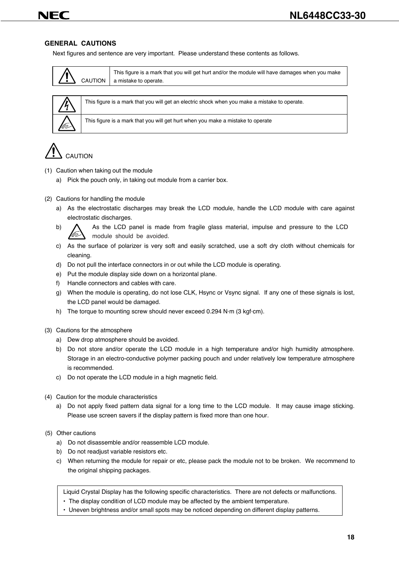# NF

### **GENERAL CAUTIONS**

Next figures and sentence are very important. Please understand these contents as follows.

|  | This figure is a mark that you will get hurt and/or the module will have damages when you make<br>CAUTION   a mistake to operate. |
|--|-----------------------------------------------------------------------------------------------------------------------------------|
|--|-----------------------------------------------------------------------------------------------------------------------------------|



This figure is a mark that you will get an electric shock when you make a mistake to operate.

# **CAUTION**

- (1) Caution when taking out the module
	- a) Pick the pouch only, in taking out module from a carrier box.

#### (2) Cautions for handling the module

- a) As the electrostatic discharges may break the LCD module, handle the LCD module with care against electrostatic discharges.
- b)  $\bigwedge$  As the LCD panel is made from fragile glass material, impulse and pressure to the LCD Víè module should be avoided.
- c) As the surface of polarizer is very soft and easily scratched, use a soft dry cloth without chemicals for cleaning.
- d) Do not pull the interface connectors in or out while the LCD module is operating.
- e) Put the module display side down on a horizontal plane.
- f) Handle connectors and cables with care.
- g) When the module is operating, do not lose CLK, Hsync or Vsync signal. If any one of these signals is lost, the LCD panel would be damaged.
- h) The torque to mounting screw should never exceed 0.294 N·m (3 kgf·cm).
- (3) Cautions for the atmosphere
	- a) Dew drop atmosphere should be avoided.
	- b) Do not store and/or operate the LCD module in a high temperature and/or high humidity atmosphere. Storage in an electro-conductive polymer packing pouch and under relatively low temperature atmosphere is recommended.
	- c) Do not operate the LCD module in a high magnetic field.
- (4) Caution for the module characteristics
	- a) Do not apply fixed pattern data signal for a long time to the LCD module. It may cause image sticking. Please use screen savers if the display pattern is fixed more than one hour.
- (5) Other cautions
	- a) Do not disassemble and/or reassemble LCD module.
	- b) Do not readjust variable resistors etc.
	- c) When returning the module for repair or etc, please pack the module not to be broken. We recommend to the original shipping packages.

Liquid Crystal Display has the following specific characteristics. There are not defects or malfunctions.

- The display condition of LCD module may be affected by the ambient temperature.
- Uneven brightness and/or small spots may be noticed depending on different display patterns.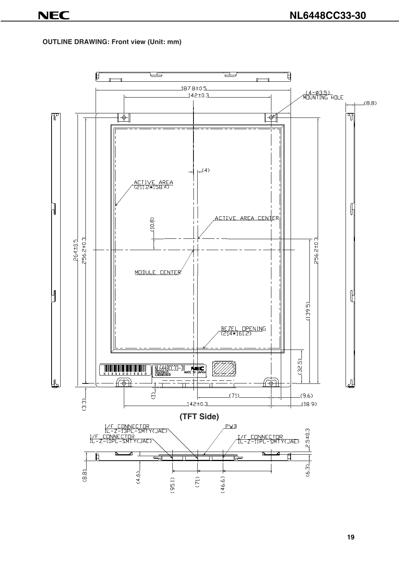**OUTLINE DRAWING: Front view (Unit: mm)**



**19**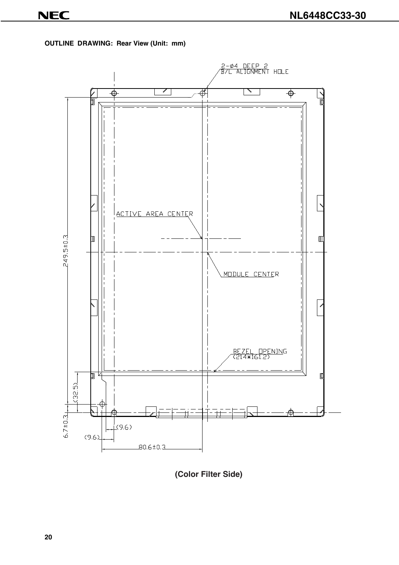**OUTLINE DRAWING: Rear View (Unit: mm)**



**(Color Filter Side)**